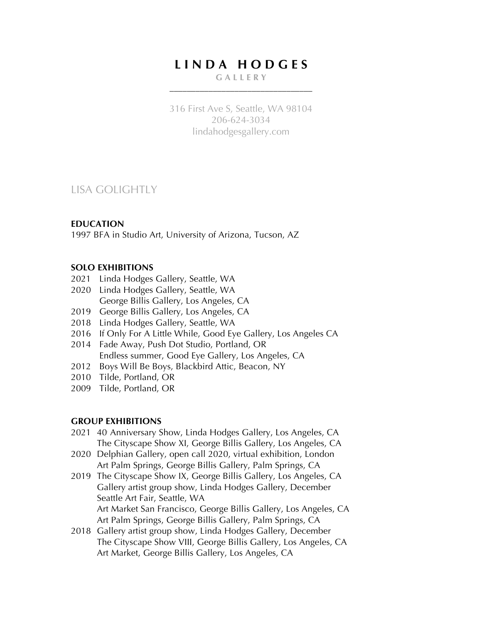# **L I N D A H O D G E S**

#### **G A L L E R Y** \_\_\_\_\_\_\_\_\_\_\_\_\_\_\_\_\_\_\_\_\_\_\_\_\_\_\_\_\_\_\_\_\_

316 First Ave S, Seattle, WA 98104 206-624-3034 lindahodgesgallery.com

# LISA GOLIGHTLY

#### **EDUCATION**

1997 BFA in Studio Art, University of Arizona, Tucson, AZ

## **SOLO EXHIBITIONS**

- 2021 Linda Hodges Gallery, Seattle, WA
- 2020 Linda Hodges Gallery, Seattle, WA George Billis Gallery, Los Angeles, CA
- 2019 George Billis Gallery, Los Angeles, CA
- 2018 Linda Hodges Gallery, Seattle, WA
- 2016 If Only For A Little While, Good Eye Gallery, Los Angeles CA
- 2014 Fade Away, Push Dot Studio, Portland, OR Endless summer, Good Eye Gallery, Los Angeles, CA
- 2012 Boys Will Be Boys, Blackbird Attic, Beacon, NY
- 2010 Tilde, Portland, OR
- 2009 Tilde, Portland, OR

## **GROUP EXHIBITIONS**

- 2021–40 Anniversary Show, Linda Hodges Gallery, Los Angeles, CA The Cityscape Show XI, George Billis Gallery, Los Angeles, CA
- 2020 Delphian Gallery, open call 2020, virtual exhibition, London Art Palm Springs, George Billis Gallery, Palm Springs, CA
- 2019 The Cityscape Show IX, George Billis Gallery, Los Angeles, CA Gallery artist group show, Linda Hodges Gallery, December Seattle Art Fair, Seattle, WA Art Market San Francisco, George Billis Gallery, Los Angeles, CA Art Palm Springs, George Billis Gallery, Palm Springs, CA
- 2018 Gallery artist group show, Linda Hodges Gallery, December The Cityscape Show VIII, George Billis Gallery, Los Angeles, CA Art Market, George Billis Gallery, Los Angeles, CA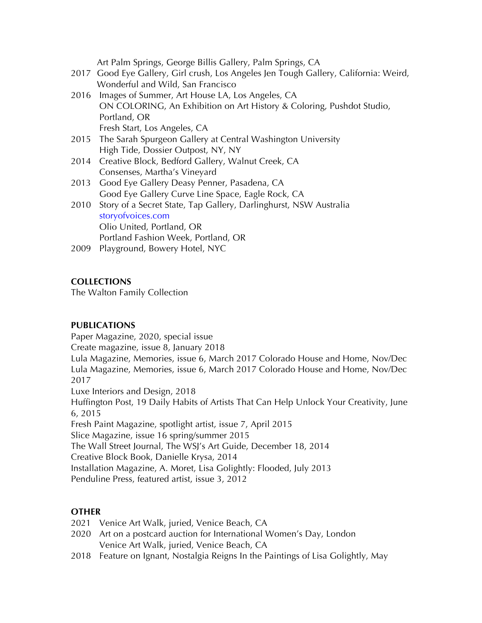Art Palm Springs, George Billis Gallery, Palm Springs, CA

- 2017 Good Eye Gallery, Girl crush, Los Angeles Jen Tough Gallery, California: Weird, Wonderful and Wild, San Francisco
- 2016 Images of Summer, Art House LA, Los Angeles, CA ON COLORING, An Exhibition on Art History & Coloring, Pushdot Studio, Portland, OR Fresh Start, Los Angeles, CA
- 2015 The Sarah Spurgeon Gallery at Central Washington University High Tide, Dossier Outpost, NY, NY
- 2014 Creative Block, Bedford Gallery, Walnut Creek, CA Consenses, Martha's Vineyard
- 2013 Good Eye Gallery Deasy Penner, Pasadena, CA Good Eye Gallery Curve Line Space, Eagle Rock, CA
- 2010 Story of a Secret State, Tap Gallery, Darlinghurst, NSW Australia storyofvoices.com Olio United, Portland, OR Portland Fashion Week, Portland, OR
- 2009 Playground, Bowery Hotel, NYC

## **COLLECTIONS**

The Walton Family Collection

## **PUBLICATIONS**

Paper Magazine, 2020, special issue Create magazine, issue 8, January 2018 Lula Magazine, Memories, issue 6, March 2017 Colorado House and Home, Nov/Dec Lula Magazine, Memories, issue 6, March 2017 Colorado House and Home, Nov/Dec 2017 Luxe Interiors and Design, 2018 Huffington Post, 19 Daily Habits of Artists That Can Help Unlock Your Creativity, June 6, 2015 Fresh Paint Magazine, spotlight artist, issue 7, April 2015 Slice Magazine, issue 16 spring/summer 2015 The Wall Street Journal, The WSJ's Art Guide, December 18, 2014 Creative Block Book, Danielle Krysa, 2014 Installation Magazine, A. Moret, Lisa Golightly: Flooded, July 2013 Penduline Press, featured artist, issue 3, 2012

## **OTHER**

- 2021 Venice Art Walk, juried, Venice Beach, CA
- 2020 Art on a postcard auction for International Women's Day, London Venice Art Walk, juried, Venice Beach, CA
- 2018 Feature on Ignant, Nostalgia Reigns In the Paintings of Lisa Golightly, May